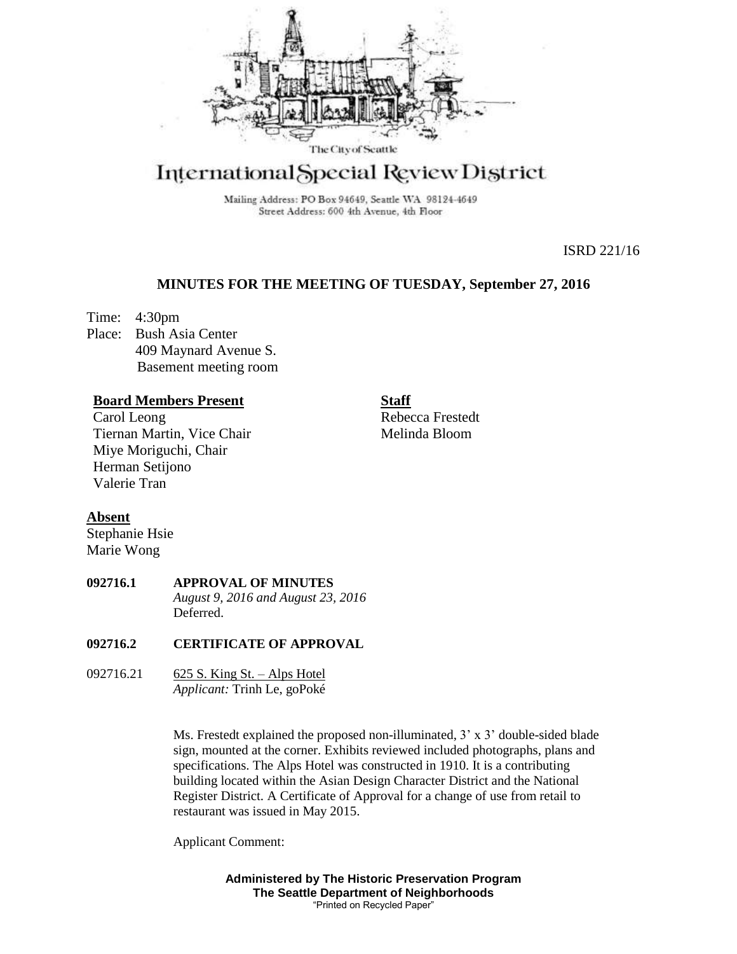

# International Special Review District

Mailing Address: PO Box 94649, Seattle WA 98124-4649 Street Address: 600 4th Avenue, 4th Floor

ISRD 221/16

## **MINUTES FOR THE MEETING OF TUESDAY, September 27, 2016**

Time: 4:30pm Place: Bush Asia Center 409 Maynard Avenue S. Basement meeting room

## **Board Members Present**

Carol Leong Tiernan Martin, Vice Chair Miye Moriguchi, Chair Herman Setijono Valerie Tran

**Staff** Rebecca Frestedt Melinda Bloom

## **Absent**

Stephanie Hsie Marie Wong

**092716.1 APPROVAL OF MINUTES** *August 9, 2016 and August 23, 2016* Deferred.

### **092716.2 CERTIFICATE OF APPROVAL**

092716.21 625 S. King St. – Alps Hotel *Applicant:* Trinh Le, goPoké

> Ms. Frestedt explained the proposed non-illuminated, 3' x 3' double-sided blade sign, mounted at the corner. Exhibits reviewed included photographs, plans and specifications. The Alps Hotel was constructed in 1910. It is a contributing building located within the Asian Design Character District and the National Register District. A Certificate of Approval for a change of use from retail to restaurant was issued in May 2015.

Applicant Comment:

**Administered by The Historic Preservation Program The Seattle Department of Neighborhoods** "Printed on Recycled Paper"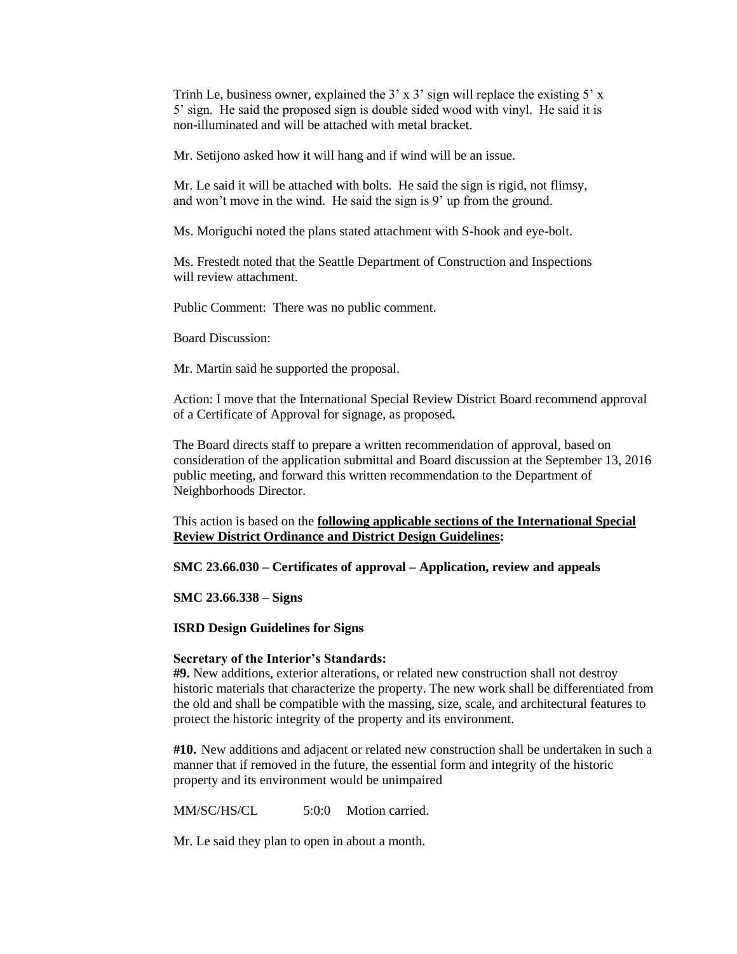Trinh Le, business owner, explained the  $3' \times 3'$  sign will replace the existing  $5' \times$ 5' sign. He said the proposed sign is double sided wood with vinyl. He said it is non-illuminated and will be attached with metal bracket.

Mr. Setijono asked how it will hang and if wind will be an issue.

Mr. Le said it will be attached with bolts. He said the sign is rigid, not flimsy, and won't move in the wind. He said the sign is 9' up from the ground.

Ms. Moriguchi noted the plans stated attachment with S-hook and eye-bolt.

Ms. Frestedt noted that the Seattle Department of Construction and Inspections will review attachment.

Public Comment: There was no public comment.

Board Discussion:

Mr. Martin said he supported the proposal.

Action: I move that the International Special Review District Board recommend approval of a Certificate of Approval for signage, as proposed*.*

The Board directs staff to prepare a written recommendation of approval, based on consideration of the application submittal and Board discussion at the September 13, 2016 public meeting, and forward this written recommendation to the Department of Neighborhoods Director.

This action is based on the **following applicable sections of the International Special Review District Ordinance and District Design Guidelines:** 

**SMC 23.66.030 – Certificates of approval – Application, review and appeals**

**SMC 23.66.338 – Signs**

**ISRD Design Guidelines for Signs**

#### **Secretary of the Interior's Standards:**

**#9.** New additions, exterior alterations, or related new construction shall not destroy historic materials that characterize the property. The new work shall be differentiated from the old and shall be compatible with the massing, size, scale, and architectural features to protect the historic integrity of the property and its environment.

**#10.** New additions and adjacent or related new construction shall be undertaken in such a manner that if removed in the future, the essential form and integrity of the historic property and its environment would be unimpaired

MM/SC/HS/CL 5:0:0 Motion carried.

Mr. Le said they plan to open in about a month.